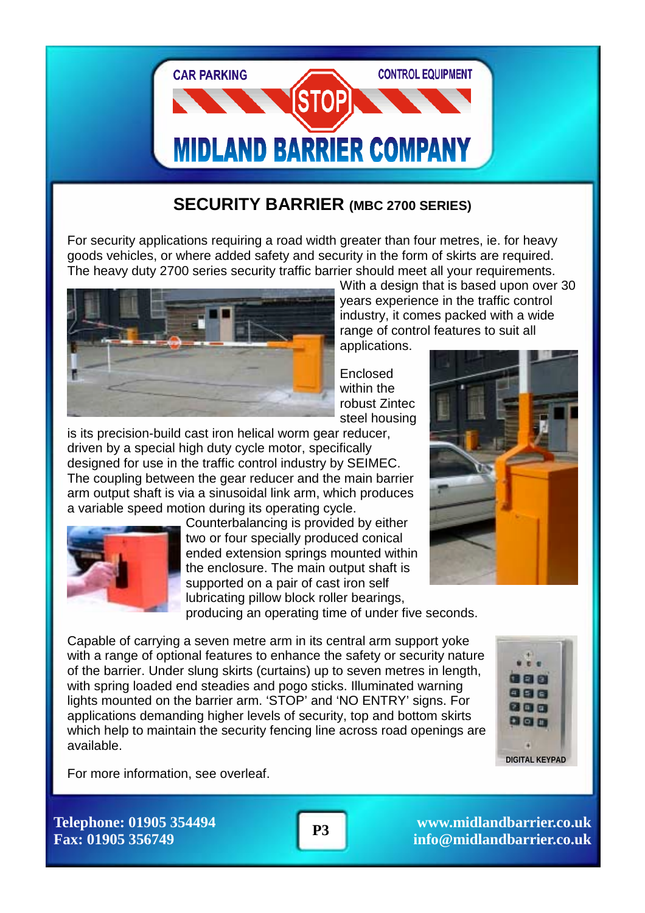

# **SECURITY BARRIER (MBC 2700 SERIES)**

For security applications requiring a road width greater than four metres, ie. for heavy goods vehicles, or where added safety and security in the form of skirts are required. The heavy duty 2700 series security traffic barrier should meet all your requirements.



With a design that is based upon over 30 years experience in the traffic control industry, it comes packed with a wide range of control features to suit all

applications.

Enclosed within the robust Zintec steel housing

is its precision-build cast iron helical worm gear reducer, driven by a special high duty cycle motor, specifically designed for use in the traffic control industry by SEIMEC. The coupling between the gear reducer and the main barrier arm output shaft is via a sinusoidal link arm, which produces a variable speed motion during its operating cycle.



Counterbalancing is provided by either two or four specially produced conical ended extension springs mounted within the enclosure. The main output shaft is supported on a pair of cast iron self lubricating pillow block roller bearings,

producing an operating time of under five seconds.

Capable of carrying a seven metre arm in its central arm support yoke with a range of optional features to enhance the safety or security nature of the barrier. Under slung skirts (curtains) up to seven metres in length, with spring loaded end steadies and pogo sticks. Illuminated warning lights mounted on the barrier arm. 'STOP' and 'NO ENTRY' signs. For applications demanding higher levels of security, top and bottom skirts which help to maintain the security fencing line across road openings are available.



For more information, see overleaf.

**Telephone: 01905 354494 Fax: 01905 356749** 

**www.midlandbarrier.co.uk P3 info@midlandbarrier.co.uk info@midlandbarrier.co.uk**